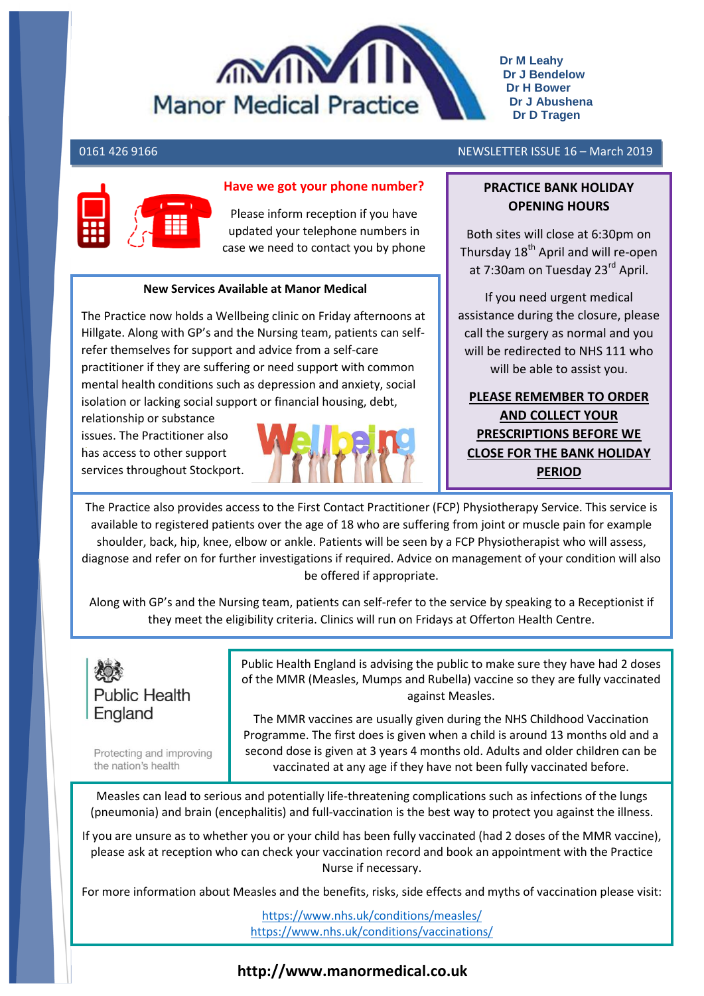

**Dr M Leahy Dr J Bendelow Dr H Bower Dr J Abushena Dr D Tragen**

#### 0161 426 9166 NEWSLETTER ISSUE 16 – March 2019

# **Have we got your phone number?**

Please inform reception if you have updated your telephone numbers in case we need to contact you by phone

#### **New Services Available at Manor Medical**

The Practice now holds a Wellbeing clinic on Friday afternoons at Hillgate. Along with GP's and the Nursing team, patients can selfrefer themselves for support and advice from a self-care practitioner if they are suffering or need support with common mental health conditions such as depression and anxiety, social isolation or lacking social support or financial housing, debt,

 has access to other support relationship or substance issues. The Practitioner also services throughout Stockport.



## **PRACTICE BANK HOLIDAY OPENING HOURS**

Both sites will close at 6:30pm on Thursday 18<sup>th</sup> April and will re-open at 7:30am on Tuesday 23<sup>rd</sup> April.

If you need urgent medical assistance during the closure, please call the surgery as normal and you will be redirected to NHS 111 who will be able to assist you.

**PLEASE REMEMBER TO ORDER AND COLLECT YOUR PRESCRIPTIONS BEFORE WE CLOSE FOR THE BANK HOLIDAY PERIOD**

The Practice also provides access to the First Contact Practitioner (FCP) Physiotherapy Service. This service is available to registered patients over the age of 18 who are suffering from joint or muscle pain for example shoulder, back, hip, knee, elbow or ankle. Patients will be seen by a FCP Physiotherapist who will assess, diagnose and refer on for further investigations if required. Advice on management of your condition will also be offered if appropriate.

Along with GP's and the Nursing team, patients can self-refer to the service by speaking to a Receptionist if they meet the eligibility criteria. Clinics will run on Fridays at Offerton Health Centre.



Protecting and improving the nation's health

Public Health England is advising the public to make sure they have had 2 doses of the MMR (Measles, Mumps and Rubella) vaccine so they are fully vaccinated against Measles.

The MMR vaccines are usually given during the NHS Childhood Vaccination Programme. The first does is given when a child is around 13 months old and a second dose is given at 3 years 4 months old. Adults and older children can be vaccinated at any age if they have not been fully vaccinated before.

Measles can lead to serious and potentially life-threatening complications such as infections of the lungs (pneumonia) and brain (encephalitis) and full-vaccination is the best way to protect you against the illness.

If you are unsure as to whether you or your child has been fully vaccinated (had 2 doses of the MMR vaccine), please ask at reception who can check your vaccination record and book an appointment with the Practice Nurse if necessary.

For more information about Measles and the benefits, risks, side effects and myths of vaccination please visit:

<https://www.nhs.uk/conditions/measles/> <https://www.nhs.uk/conditions/vaccinations/>

### **http://www.manormedical.co.uk**